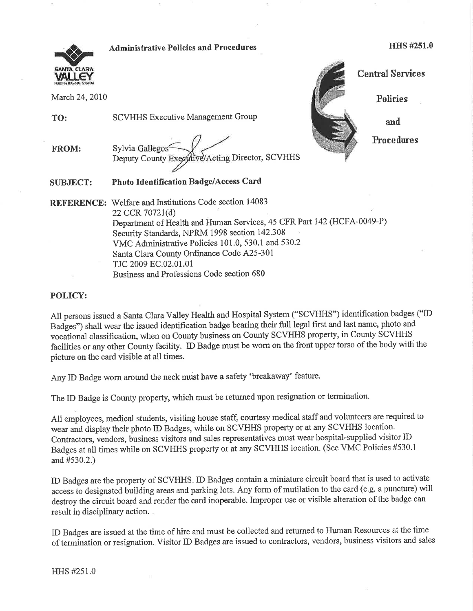

Administrative Policies and Procedures https://www.mateure.com/herein-tensity-mateure.com/herein-tensity-mateure

VALLEY Central Services March 24, 2010 Policies  $\vec{v}$ e/Acting Director, SCVHHS

and

Froredures

SUBJECT: Photo Identification Badge/Access Card

FROM: Sylvia Gallegos
Sylvia Gallegos
Seputy County Exe

TO: SCVHHS Executive Management Group

REFERENCE: Welfare and Institutions Code section 14083 22 CCR 70721(d) Department of Health and Human Services, 45 CFR Part 142 (HCFA-0049-P) Security Standards, NPRM 1998 section 142.308 VMC Administrative Policies 101.0, 530.1 and 530.2 Santa Clara County Ordinance Code A25-301 TJC 2009 8C.02.01.01 Business and Professions Code section 680

POLICY:

All persons issued a Santa Clara Valley Health and Hospital System ("SCVHHS") identification badges ("ID Badges') shall wear the issued identification badge bearing their full legal first and last name, photo and vocational classification, when on Counfy business on County SCVHHS property, in County SCVHHS facilities or any other County facility. ID Badge must be worn on the front upper torso of the body with the picture on the card visible at all times.

Any ID Badge worn around the neck must have a safety 'breakaway' feature.

The ID Badge is County property, which must be returned upon resignation or termination.

All employees, medical students, visiting house staff, courtesy medical staff and volunteers are required to wear and display their photo ID Badges, while on SCVHHS proper{y or at any SCVHHS location. Contractors, vendors, business visitors and sales representatives must wear hospital-supplied visitor ID Badges at all times while on SCVHHS property or at any SCVHHS location. (See VMC Policies #530.1 and #530.2.)

ID Badges are the property of SCVHHS. ID Badges contain a miniature circuit board that is used to activate access to designated building areas and parking lots. Any form of mutilation to the card (e.g. a puncture) will destroy the circuit board and render the card inoperable. Improper use or visible alteration of the badge can result in disciplinary action.

ID Badges are issued at the time of hire and must be collected and retumed to Human Resources at the tinre of termination or resignation. Visitor ID Badges are issued to contractors, vendors, business visitors and sales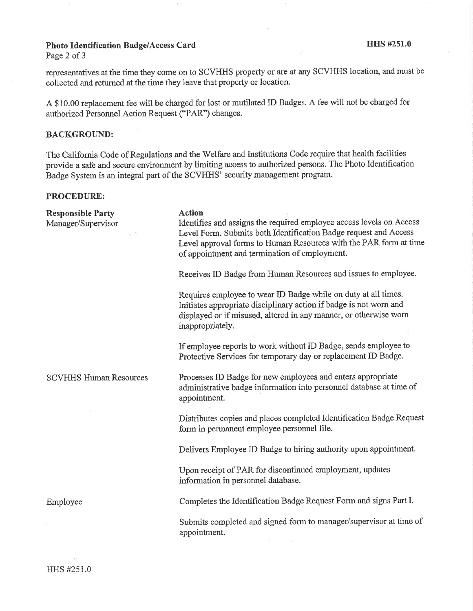# Photo Identification Badge/Access Card HHS #251.0

Page 2 of 3

representatives at the time they come on to SCVHHS property or are at any SCVHHS location, and must be collected and returned at the time they leave that property or location.

A \$10.00 replacement fee will be charged for lost or mutilated ID Badges. A fee will not be charged for authorized Personnel Action Request ("PAR') changes.

#### BACKGROUND:

The California Code of Regulations and the Welfare and Institutions Code require that health facilities provide a safe and secure environment by limiting access to authorized persons. The Photo Identification Badge System is an integral part of the SCVHHS' security management program.

### PROCEDURE:

Responsible Party Manager/Supervisor

### **Action**

Identifies and assigns the required employee access levels on Access Level Form. Submits both ldentification Badge request and Access Level approval forms to Human Resources with the PAR form at time of appointment and termination of employment.

Receives ID Badge from Human Resources and issues to employee.

Requires employee to wear ID Badge while on duty at all times. Initiates appropriate disciplinary action if badge is not worn and displayed or if misused, altered in any manner, or otherwise worn inappropriately.

If employee reports to work without ID Badge, sends employee to Protective Services for temporary day or replacement ID Badge.

Processes ID Badge for new employees and enters appropriate administrative badge information into personnel database at time of appointment.

Distributes copies and places completed Identification Badge Request form in permanent employee personnel file.

Delivers Employee ID Badge to hiring authority upon appointment.

Upon receipt of PAR for discontinued employment, updates information in personnel database.

Completes the Identification Badge Request Form and signs Part I.

Submits completed and signed form to manager/supervisor at time of appointment.

SCVHHS Human Resources

Employee